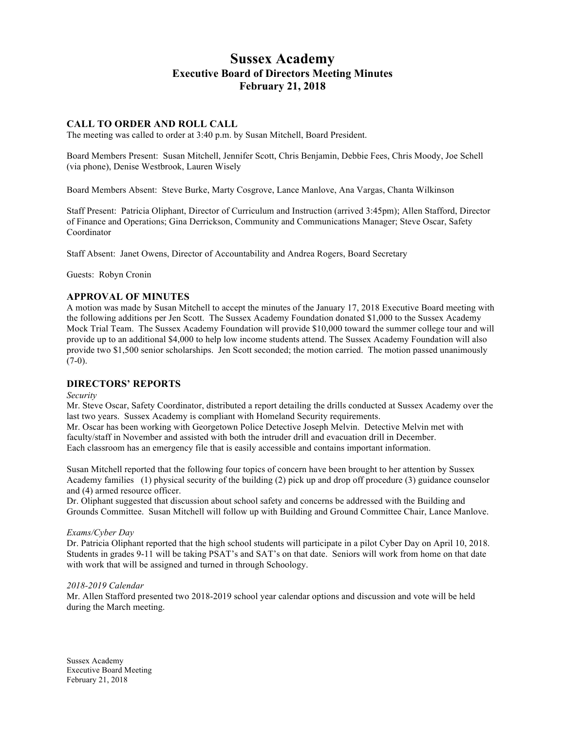# **Sussex Academy Executive Board of Directors Meeting Minutes February 21, 2018**

# **CALL TO ORDER AND ROLL CALL**

The meeting was called to order at 3:40 p.m. by Susan Mitchell, Board President.

Board Members Present: Susan Mitchell, Jennifer Scott, Chris Benjamin, Debbie Fees, Chris Moody, Joe Schell (via phone), Denise Westbrook, Lauren Wisely

Board Members Absent: Steve Burke, Marty Cosgrove, Lance Manlove, Ana Vargas, Chanta Wilkinson

Staff Present: Patricia Oliphant, Director of Curriculum and Instruction (arrived 3:45pm); Allen Stafford, Director of Finance and Operations; Gina Derrickson, Community and Communications Manager; Steve Oscar, Safety Coordinator

Staff Absent: Janet Owens, Director of Accountability and Andrea Rogers, Board Secretary

Guests: Robyn Cronin

## **APPROVAL OF MINUTES**

A motion was made by Susan Mitchell to accept the minutes of the January 17, 2018 Executive Board meeting with the following additions per Jen Scott. The Sussex Academy Foundation donated \$1,000 to the Sussex Academy Mock Trial Team. The Sussex Academy Foundation will provide \$10,000 toward the summer college tour and will provide up to an additional \$4,000 to help low income students attend. The Sussex Academy Foundation will also provide two \$1,500 senior scholarships. Jen Scott seconded; the motion carried. The motion passed unanimously  $(7-0)$ .

## **DIRECTORS' REPORTS**

#### *Security*

Mr. Steve Oscar, Safety Coordinator, distributed a report detailing the drills conducted at Sussex Academy over the last two years. Sussex Academy is compliant with Homeland Security requirements.

Mr. Oscar has been working with Georgetown Police Detective Joseph Melvin. Detective Melvin met with faculty/staff in November and assisted with both the intruder drill and evacuation drill in December. Each classroom has an emergency file that is easily accessible and contains important information.

Susan Mitchell reported that the following four topics of concern have been brought to her attention by Sussex Academy families (1) physical security of the building (2) pick up and drop off procedure (3) guidance counselor and (4) armed resource officer.

Dr. Oliphant suggested that discussion about school safety and concerns be addressed with the Building and Grounds Committee. Susan Mitchell will follow up with Building and Ground Committee Chair, Lance Manlove.

#### *Exams/Cyber Day*

Dr. Patricia Oliphant reported that the high school students will participate in a pilot Cyber Day on April 10, 2018. Students in grades 9-11 will be taking PSAT's and SAT's on that date. Seniors will work from home on that date with work that will be assigned and turned in through Schoology.

#### *2018-2019 Calendar*

Mr. Allen Stafford presented two 2018-2019 school year calendar options and discussion and vote will be held during the March meeting.

Sussex Academy Executive Board Meeting February 21, 2018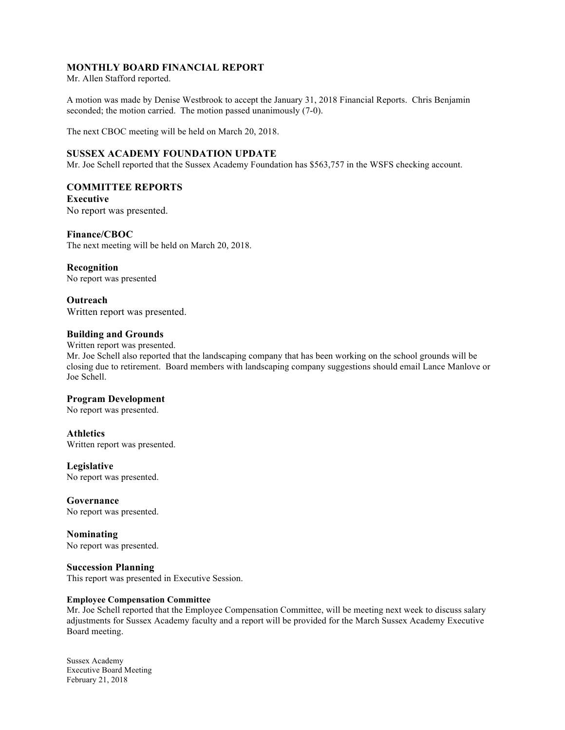# **MONTHLY BOARD FINANCIAL REPORT**

Mr. Allen Stafford reported.

A motion was made by Denise Westbrook to accept the January 31, 2018 Financial Reports. Chris Benjamin seconded; the motion carried. The motion passed unanimously (7-0).

The next CBOC meeting will be held on March 20, 2018.

## **SUSSEX ACADEMY FOUNDATION UPDATE**

Mr. Joe Schell reported that the Sussex Academy Foundation has \$563,757 in the WSFS checking account.

# **COMMITTEE REPORTS**

**Executive**

No report was presented.

## **Finance/CBOC**

The next meeting will be held on March 20, 2018.

## **Recognition**

No report was presented

# **Outreach**

Written report was presented.

# **Building and Grounds**

Written report was presented.

Mr. Joe Schell also reported that the landscaping company that has been working on the school grounds will be closing due to retirement. Board members with landscaping company suggestions should email Lance Manlove or Joe Schell.

## **Program Development**

No report was presented.

## **Athletics**

Written report was presented.

## **Legislative**

No report was presented.

## **Governance**

No report was presented.

## **Nominating**

No report was presented.

## **Succession Planning**

This report was presented in Executive Session.

## **Employee Compensation Committee**

Mr. Joe Schell reported that the Employee Compensation Committee, will be meeting next week to discuss salary adjustments for Sussex Academy faculty and a report will be provided for the March Sussex Academy Executive Board meeting.

Sussex Academy Executive Board Meeting February 21, 2018